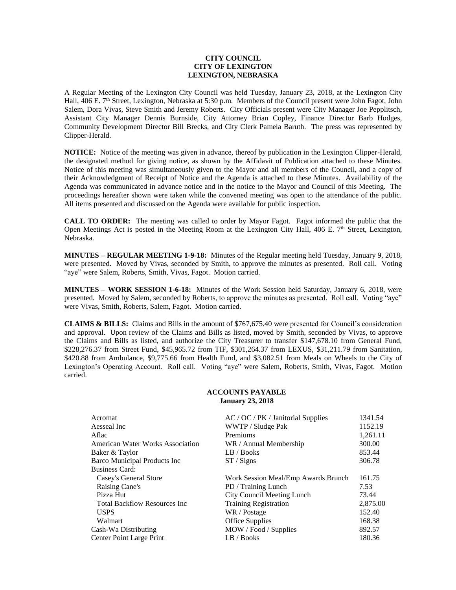## **CITY COUNCIL CITY OF LEXINGTON LEXINGTON, NEBRASKA**

A Regular Meeting of the Lexington City Council was held Tuesday, January 23, 2018, at the Lexington City Hall, 406 E. 7<sup>th</sup> Street, Lexington, Nebraska at 5:30 p.m. Members of the Council present were John Fagot, John Salem, Dora Vivas, Steve Smith and Jeremy Roberts. City Officials present were City Manager Joe Pepplitsch, Assistant City Manager Dennis Burnside, City Attorney Brian Copley, Finance Director Barb Hodges, Community Development Director Bill Brecks, and City Clerk Pamela Baruth. The press was represented by Clipper-Herald.

**NOTICE:** Notice of the meeting was given in advance, thereof by publication in the Lexington Clipper-Herald, the designated method for giving notice, as shown by the Affidavit of Publication attached to these Minutes. Notice of this meeting was simultaneously given to the Mayor and all members of the Council, and a copy of their Acknowledgment of Receipt of Notice and the Agenda is attached to these Minutes. Availability of the Agenda was communicated in advance notice and in the notice to the Mayor and Council of this Meeting. The proceedings hereafter shown were taken while the convened meeting was open to the attendance of the public. All items presented and discussed on the Agenda were available for public inspection.

**CALL TO ORDER:** The meeting was called to order by Mayor Fagot. Fagot informed the public that the Open Meetings Act is posted in the Meeting Room at the Lexington City Hall, 406 E. 7<sup>th</sup> Street, Lexington, Nebraska.

**MINUTES – REGULAR MEETING 1-9-18:** Minutes of the Regular meeting held Tuesday, January 9, 2018, were presented. Moved by Vivas, seconded by Smith, to approve the minutes as presented. Roll call. Voting "aye" were Salem, Roberts, Smith, Vivas, Fagot. Motion carried.

**MINUTES – WORK SESSION 1-6-18:** Minutes of the Work Session held Saturday, January 6, 2018, were presented. Moved by Salem, seconded by Roberts, to approve the minutes as presented. Roll call. Voting "aye" were Vivas, Smith, Roberts, Salem, Fagot. Motion carried.

**CLAIMS & BILLS:** Claims and Bills in the amount of \$767,675.40 were presented for Council's consideration and approval. Upon review of the Claims and Bills as listed, moved by Smith, seconded by Vivas, to approve the Claims and Bills as listed, and authorize the City Treasurer to transfer \$147,678.10 from General Fund, \$228,276.37 from Street Fund, \$45,965.72 from TIF, \$301,264.37 from LEXUS, \$31,211.79 from Sanitation, \$420.88 from Ambulance, \$9,775.66 from Health Fund, and \$3,082.51 from Meals on Wheels to the City of Lexington's Operating Account. Roll call. Voting "aye" were Salem, Roberts, Smith, Vivas, Fagot. Motion carried.

## **ACCOUNTS PAYABLE January 23, 2018**

| Acromat                                 | $AC / OC / PK / Janitorial$ Supplies | 1341.54  |
|-----------------------------------------|--------------------------------------|----------|
| Aesseal Inc                             | WWTP / Sludge Pak                    | 1152.19  |
| Aflac                                   | Premiums                             | 1,261.11 |
| <b>American Water Works Association</b> | WR / Annual Membership               | 300.00   |
| Baker & Taylor                          | LB / Books                           | 853.44   |
| <b>Barco Municipal Products Inc</b>     | ST / Signs                           | 306.78   |
| <b>Business Card:</b>                   |                                      |          |
| Casey's General Store                   | Work Session Meal/Emp Awards Brunch  | 161.75   |
| Raising Cane's                          | PD / Training Lunch                  | 7.53     |
| Pizza Hut                               | City Council Meeting Lunch           | 73.44    |
| <b>Total Backflow Resources Inc.</b>    | <b>Training Registration</b>         | 2,875.00 |
| <b>USPS</b>                             | WR / Postage                         | 152.40   |
| Walmart                                 | <b>Office Supplies</b>               | 168.38   |
| Cash-Wa Distributing                    | MOW / Food / Supplies                | 892.57   |
| Center Point Large Print                | LB / Books                           | 180.36   |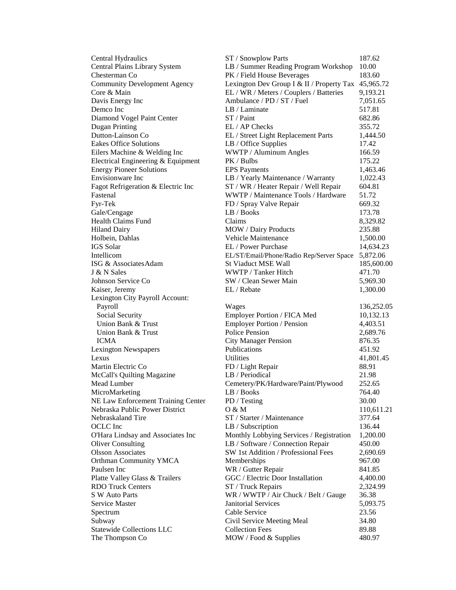| Central Hydraulics                                         | ST / Snowplow Parts                                                | 187.62     |
|------------------------------------------------------------|--------------------------------------------------------------------|------------|
| Central Plains Library System                              | LB / Summer Reading Program Workshop                               | 10.00      |
| Chesterman Co                                              | PK / Field House Beverages                                         | 183.60     |
| <b>Community Development Agency</b>                        | Lexington Dev Group I & II / Property Tax 45,965.72                |            |
| Core & Main                                                | EL / WR / Meters / Couplers / Batteries                            | 9,193.21   |
| Davis Energy Inc                                           | Ambulance / PD / ST / Fuel                                         | 7,051.65   |
| Demco Inc                                                  | LB / Laminate                                                      | 517.81     |
| Diamond Vogel Paint Center                                 | ST / Paint                                                         | 682.86     |
| Dugan Printing                                             | EL / AP Checks                                                     | 355.72     |
| Dutton-Lainson Co                                          | EL / Street Light Replacement Parts                                | 1,444.50   |
| <b>Eakes Office Solutions</b>                              | LB / Office Supplies                                               | 17.42      |
| Eilers Machine & Welding Inc                               | WWTP / Aluminum Angles                                             | 166.59     |
| Electrical Engineering & Equipment                         | PK / Bulbs                                                         | 175.22     |
| <b>Energy Pioneer Solutions</b>                            | <b>EPS</b> Payments                                                | 1,463.46   |
| Envisionware Inc                                           | LB / Yearly Maintenance / Warranty                                 | 1,022.43   |
| Fagot Refrigeration & Electric Inc                         | ST / WR / Heater Repair / Well Repair                              | 604.81     |
| Fastenal                                                   | WWTP / Maintenance Tools / Hardware                                | 51.72      |
| Fyr-Tek                                                    | FD / Spray Valve Repair                                            | 669.32     |
| Gale/Cengage                                               | LB / Books                                                         | 173.78     |
| <b>Health Claims Fund</b>                                  | Claims                                                             | 8,329.82   |
| <b>Hiland Dairy</b>                                        | <b>MOW</b> / Dairy Products                                        | 235.88     |
| Holbein, Dahlas                                            | Vehicle Maintenance                                                | 1,500.00   |
| <b>IGS</b> Solar                                           | EL / Power Purchase                                                | 14,634.23  |
| Intellicom                                                 | EL/ST/Email/Phone/Radio Rep/Server Space                           | 5,872.06   |
| ISG & Associates Adam                                      | <b>St Viaduct MSE Wall</b>                                         | 185,600.00 |
| J & N Sales                                                | WWTP / Tanker Hitch                                                | 471.70     |
| Johnson Service Co                                         | SW / Clean Sewer Main                                              | 5,969.30   |
| Kaiser, Jeremy                                             | EL / Rebate                                                        | 1,300.00   |
| Lexington City Payroll Account:                            |                                                                    |            |
| Payroll                                                    | Wages                                                              | 136,252.05 |
|                                                            |                                                                    |            |
| Social Security                                            | Employer Portion / FICA Med                                        | 10,132.13  |
| Union Bank & Trust                                         | Employer Portion / Pension                                         | 4,403.51   |
| Union Bank & Trust                                         | Police Pension                                                     | 2,689.76   |
| <b>ICMA</b>                                                | <b>City Manager Pension</b>                                        | 876.35     |
| <b>Lexington Newspapers</b>                                | Publications                                                       | 451.92     |
| Lexus                                                      | Utilities                                                          | 41,801.45  |
| Martin Electric Co                                         | FD / Light Repair                                                  | 88.91      |
| McCall's Quilting Magazine                                 | LB / Periodical                                                    | 21.98      |
| Mead Lumber                                                | Cemetery/PK/Hardware/Paint/Plywood                                 | 252.65     |
| MicroMarketing                                             | LB / Books                                                         | 764.40     |
| NE Law Enforcement Training Center                         | PD / Testing                                                       | 30.00      |
| Nebraska Public Power District                             | O & M                                                              | 110,611.21 |
| Nebraskaland Tire                                          | ST / Starter / Maintenance                                         | 377.64     |
| OCLC Inc                                                   | LB / Subscription                                                  | 136.44     |
| O'Hara Lindsay and Associates Inc                          | Monthly Lobbying Services / Registration                           | 1,200.00   |
| <b>Oliver Consulting</b>                                   | LB / Software / Connection Repair                                  | 450.00     |
| <b>Olsson Associates</b>                                   | SW 1st Addition / Professional Fees                                | 2,690.69   |
| Orthman Community YMCA                                     | Memberships                                                        | 967.00     |
| Paulsen Inc                                                | WR / Gutter Repair                                                 | 841.85     |
|                                                            | GGC / Electric Door Installation                                   | 4,400.00   |
| Platte Valley Glass & Trailers<br><b>RDO Truck Centers</b> |                                                                    | 2,324.99   |
| S W Auto Parts                                             | ST / Truck Repairs                                                 | 36.38      |
| Service Master                                             | WR / WWTP / Air Chuck / Belt / Gauge<br><b>Janitorial Services</b> | 5,093.75   |
|                                                            | Cable Service                                                      | 23.56      |
| Spectrum<br>Subway                                         | Civil Service Meeting Meal                                         | 34.80      |
| <b>Statewide Collections LLC</b>                           | <b>Collection Fees</b>                                             | 89.88      |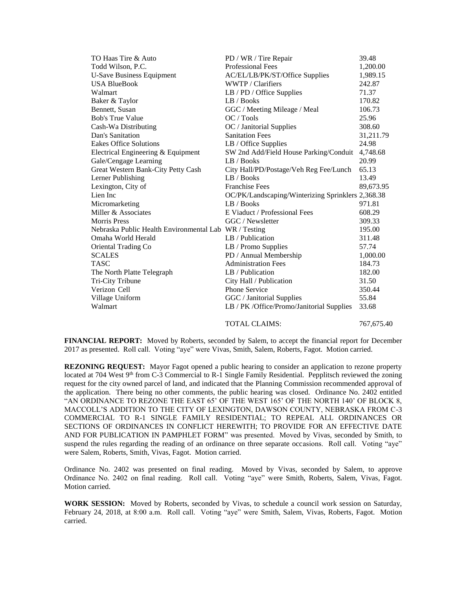| TO Haas Tire & Auto                                   | PD / WR / Tire Repair                             | 39.48     |
|-------------------------------------------------------|---------------------------------------------------|-----------|
| Todd Wilson, P.C.                                     | <b>Professional Fees</b>                          | 1,200.00  |
| <b>U-Save Business Equipment</b>                      | AC/EL/LB/PK/ST/Office Supplies                    | 1,989.15  |
| <b>USA BlueBook</b>                                   | WWTP / Clarifiers                                 | 242.87    |
| Walmart                                               | $LB$ / PD / Office Supplies                       | 71.37     |
| Baker & Taylor                                        | LB / Books                                        | 170.82    |
| Bennett, Susan                                        | GGC / Meeting Mileage / Meal                      | 106.73    |
| <b>Bob's True Value</b>                               | OC/Tools                                          | 25.96     |
| Cash-Wa Distributing                                  | OC / Janitorial Supplies                          | 308.60    |
| Dan's Sanitation                                      | <b>Sanitation Fees</b>                            | 31,211.79 |
| <b>Eakes Office Solutions</b>                         | LB / Office Supplies                              | 24.98     |
| Electrical Engineering & Equipment                    | SW 2nd Add/Field House Parking/Conduit            | 4,748.68  |
| Gale/Cengage Learning                                 | LB / Books                                        | 20.99     |
| Great Western Bank-City Petty Cash                    | City Hall/PD/Postage/Veh Reg Fee/Lunch            | 65.13     |
| Lerner Publishing                                     | LB / Books                                        | 13.49     |
| Lexington, City of                                    | <b>Franchise Fees</b>                             | 89,673.95 |
| Lien Inc                                              | OC/PK/Landscaping/Winterizing Sprinklers 2,368.38 |           |
| Micromarketing                                        | LB / Books                                        | 971.81    |
| Miller & Associates                                   | E Viaduct / Professional Fees                     | 608.29    |
| <b>Morris</b> Press                                   | GGC / Newsletter                                  | 309.33    |
| Nebraska Public Health Environmental Lab WR / Testing |                                                   | 195.00    |
| Omaha World Herald                                    | LB / Publication                                  | 311.48    |
| Oriental Trading Co                                   | LB / Promo Supplies                               | 57.74     |
| <b>SCALES</b>                                         | PD / Annual Membership                            | 1,000.00  |
| <b>TASC</b>                                           | <b>Administration Fees</b>                        | 184.73    |
| The North Platte Telegraph                            | LB / Publication                                  | 182.00    |
| Tri-City Tribune                                      | City Hall / Publication                           | 31.50     |
| Verizon Cell                                          | <b>Phone Service</b>                              | 350.44    |
| Village Uniform                                       | GGC / Janitorial Supplies                         | 55.84     |
| Walmart                                               | LB / PK /Office/Promo/Janitorial Supplies         | 33.68     |
|                                                       |                                                   |           |

TOTAL CLAIMS:  $767,675.40$ 

**FINANCIAL REPORT:** Moved by Roberts, seconded by Salem, to accept the financial report for December 2017 as presented. Roll call. Voting "aye" were Vivas, Smith, Salem, Roberts, Fagot. Motion carried.

**REZONING REQUEST:** Mayor Fagot opened a public hearing to consider an application to rezone property located at 704 West 9<sup>th</sup> from C-3 Commercial to R-1 Single Family Residential. Pepplitsch reviewed the zoning request for the city owned parcel of land, and indicated that the Planning Commission recommended approval of the application. There being no other comments, the public hearing was closed. Ordinance No. 2402 entitled "AN ORDINANCE TO REZONE THE EAST 65' OF THE WEST 165' OF THE NORTH 140' OF BLOCK 8, MACCOLL'S ADDITION TO THE CITY OF LEXINGTON, DAWSON COUNTY, NEBRASKA FROM C-3 COMMERCIAL TO R-1 SINGLE FAMILY RESIDENTIAL; TO REPEAL ALL ORDINANCES OR SECTIONS OF ORDINANCES IN CONFLICT HEREWITH; TO PROVIDE FOR AN EFFECTIVE DATE AND FOR PUBLICATION IN PAMPHLET FORM" was presented. Moved by Vivas, seconded by Smith, to suspend the rules regarding the reading of an ordinance on three separate occasions. Roll call. Voting "aye" were Salem, Roberts, Smith, Vivas, Fagot. Motion carried.

Ordinance No. 2402 was presented on final reading. Moved by Vivas, seconded by Salem, to approve Ordinance No. 2402 on final reading. Roll call. Voting "aye" were Smith, Roberts, Salem, Vivas, Fagot. Motion carried.

**WORK SESSION:** Moved by Roberts, seconded by Vivas, to schedule a council work session on Saturday, February 24, 2018, at 8:00 a.m. Roll call. Voting "aye" were Smith, Salem, Vivas, Roberts, Fagot. Motion carried.